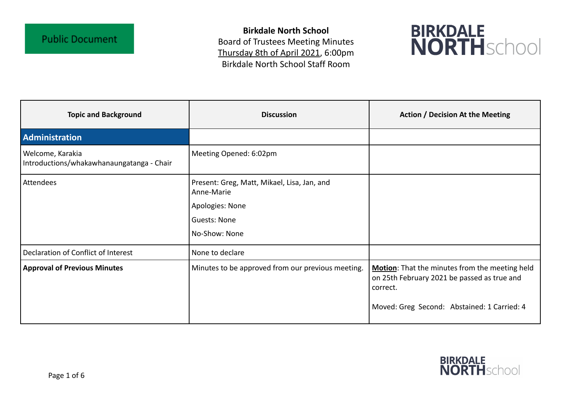**Birkdale North School** Board of Trustees Meeting Minutes Thursday 8th of April 2021, 6:00pm Birkdale North School Staff Room



| <b>Topic and Background</b>                                   | <b>Discussion</b>                                                                                                    | <b>Action / Decision At the Meeting</b>                                                                                                                  |
|---------------------------------------------------------------|----------------------------------------------------------------------------------------------------------------------|----------------------------------------------------------------------------------------------------------------------------------------------------------|
| <b>Administration</b>                                         |                                                                                                                      |                                                                                                                                                          |
| Welcome, Karakia<br>Introductions/whakawhanaungatanga - Chair | Meeting Opened: 6:02pm                                                                                               |                                                                                                                                                          |
| Attendees                                                     | Present: Greg, Matt, Mikael, Lisa, Jan, and<br>Anne-Marie<br>Apologies: None<br><b>Guests: None</b><br>No-Show: None |                                                                                                                                                          |
| Declaration of Conflict of Interest                           | None to declare                                                                                                      |                                                                                                                                                          |
| <b>Approval of Previous Minutes</b>                           | Minutes to be approved from our previous meeting.                                                                    | Motion: That the minutes from the meeting held<br>on 25th February 2021 be passed as true and<br>correct.<br>Moved: Greg Second: Abstained: 1 Carried: 4 |

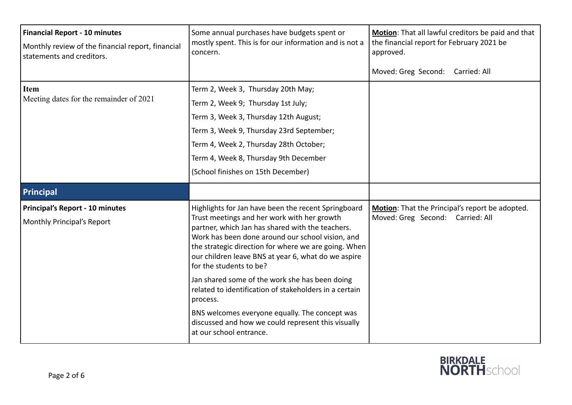| <b>Financial Report - 10 minutes</b><br>Monthly review of the financial report, financial<br>statements and creditors. | Some annual purchases have budgets spent or<br>mostly spent. This is for our information and is not a<br>concern.                                                                                                                                                                                                                                                                                                                                                                                                              | Motion: That all lawful creditors be paid and that<br>the financial report for February 2021 be<br>approved.<br>Moved: Greg Second: Carried: All |
|------------------------------------------------------------------------------------------------------------------------|--------------------------------------------------------------------------------------------------------------------------------------------------------------------------------------------------------------------------------------------------------------------------------------------------------------------------------------------------------------------------------------------------------------------------------------------------------------------------------------------------------------------------------|--------------------------------------------------------------------------------------------------------------------------------------------------|
| Item<br>Meeting dates for the remainder of 2021                                                                        | Term 2, Week 3, Thursday 20th May;<br>Term 2, Week 9; Thursday 1st July;<br>Term 3, Week 3, Thursday 12th August;<br>Term 3, Week 9, Thursday 23rd September;<br>Term 4, Week 2, Thursday 28th October;<br>Term 4, Week 8, Thursday 9th December<br>(School finishes on 15th December)                                                                                                                                                                                                                                         |                                                                                                                                                  |
| Principal                                                                                                              |                                                                                                                                                                                                                                                                                                                                                                                                                                                                                                                                |                                                                                                                                                  |
| Principal's Report - 10 minutes<br>Monthly Principal's Report                                                          | Highlights for Jan have been the recent Springboard<br>Trust meetings and her work with her growth<br>partner, which Jan has shared with the teachers.<br>Work has been done around our school vision, and<br>the strategic direction for where we are going. When<br>our children leave BNS at year 6, what do we aspire<br>for the students to be?<br>Jan shared some of the work she has been doing<br>related to identification of stakeholders in a certain<br>process.<br>BNS welcomes everyone equally. The concept was | <b>Motion:</b> That the Principal's report be adopted.<br>Moved: Greg Second: Carried: All                                                       |
|                                                                                                                        | discussed and how we could represent this visually<br>at our school entrance.                                                                                                                                                                                                                                                                                                                                                                                                                                                  |                                                                                                                                                  |

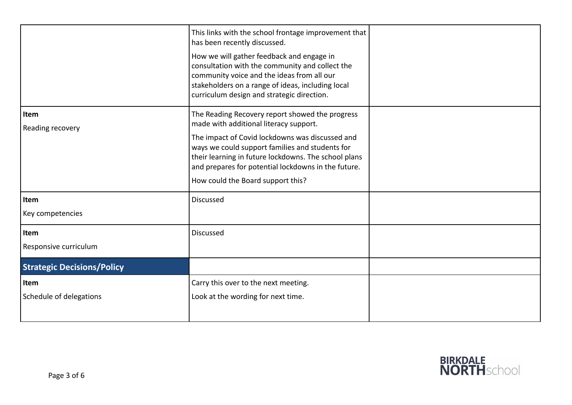|                                   | This links with the school frontage improvement that<br>has been recently discussed.<br>How we will gather feedback and engage in<br>consultation with the community and collect the<br>community voice and the ideas from all our<br>stakeholders on a range of ideas, including local<br>curriculum design and strategic direction. |  |
|-----------------------------------|---------------------------------------------------------------------------------------------------------------------------------------------------------------------------------------------------------------------------------------------------------------------------------------------------------------------------------------|--|
| Item                              | The Reading Recovery report showed the progress                                                                                                                                                                                                                                                                                       |  |
| Reading recovery                  | made with additional literacy support.<br>The impact of Covid lockdowns was discussed and<br>ways we could support families and students for<br>their learning in future lockdowns. The school plans<br>and prepares for potential lockdowns in the future.<br>How could the Board support this?                                      |  |
| Item<br>Key competencies          | Discussed                                                                                                                                                                                                                                                                                                                             |  |
| Item<br>Responsive curriculum     | <b>Discussed</b>                                                                                                                                                                                                                                                                                                                      |  |
| <b>Strategic Decisions/Policy</b> |                                                                                                                                                                                                                                                                                                                                       |  |
| Item<br>Schedule of delegations   | Carry this over to the next meeting.<br>Look at the wording for next time.                                                                                                                                                                                                                                                            |  |

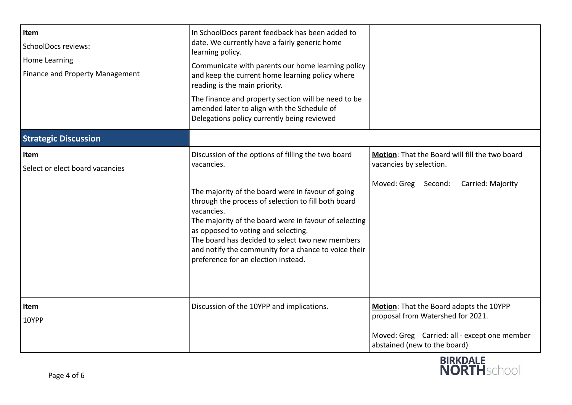| Item<br><b>SchoolDocs reviews:</b><br><b>Home Learning</b><br>Finance and Property Management | In SchoolDocs parent feedback has been added to<br>date. We currently have a fairly generic home<br>learning policy.<br>Communicate with parents our home learning policy<br>and keep the current home learning policy where<br>reading is the main priority.<br>The finance and property section will be need to be<br>amended later to align with the Schedule of<br>Delegations policy currently being reviewed                           |                                                                                                                                                              |
|-----------------------------------------------------------------------------------------------|----------------------------------------------------------------------------------------------------------------------------------------------------------------------------------------------------------------------------------------------------------------------------------------------------------------------------------------------------------------------------------------------------------------------------------------------|--------------------------------------------------------------------------------------------------------------------------------------------------------------|
| <b>Strategic Discussion</b>                                                                   |                                                                                                                                                                                                                                                                                                                                                                                                                                              |                                                                                                                                                              |
| Item<br>Select or elect board vacancies                                                       | Discussion of the options of filling the two board<br>vacancies.<br>The majority of the board were in favour of going<br>through the process of selection to fill both board<br>vacancies.<br>The majority of the board were in favour of selecting<br>as opposed to voting and selecting.<br>The board has decided to select two new members<br>and notify the community for a chance to voice their<br>preference for an election instead. | Motion: That the Board will fill the two board<br>vacancies by selection.<br>Moved: Greg Second:<br>Carried: Majority                                        |
| Item<br>10YPP                                                                                 | Discussion of the 10YPP and implications.                                                                                                                                                                                                                                                                                                                                                                                                    | Motion: That the Board adopts the 10YPP<br>proposal from Watershed for 2021.<br>Moved: Greg Carried: all - except one member<br>abstained (new to the board) |

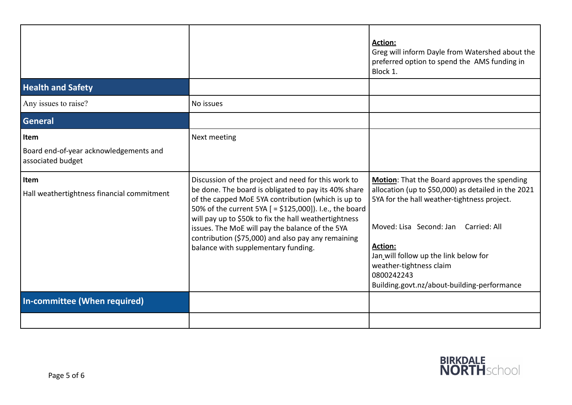|                                                                     |                                                                                                                                                                                                                                                                                                                                                                                                                                       | <b>Action:</b><br>Greg will inform Dayle from Watershed about the<br>preferred option to spend the AMS funding in<br>Block 1.                                                                                                                                                                                                                    |
|---------------------------------------------------------------------|---------------------------------------------------------------------------------------------------------------------------------------------------------------------------------------------------------------------------------------------------------------------------------------------------------------------------------------------------------------------------------------------------------------------------------------|--------------------------------------------------------------------------------------------------------------------------------------------------------------------------------------------------------------------------------------------------------------------------------------------------------------------------------------------------|
| <b>Health and Safety</b>                                            |                                                                                                                                                                                                                                                                                                                                                                                                                                       |                                                                                                                                                                                                                                                                                                                                                  |
| Any issues to raise?                                                | No issues                                                                                                                                                                                                                                                                                                                                                                                                                             |                                                                                                                                                                                                                                                                                                                                                  |
| <b>General</b>                                                      |                                                                                                                                                                                                                                                                                                                                                                                                                                       |                                                                                                                                                                                                                                                                                                                                                  |
| Item<br>Board end-of-year acknowledgements and<br>associated budget | Next meeting                                                                                                                                                                                                                                                                                                                                                                                                                          |                                                                                                                                                                                                                                                                                                                                                  |
| Item<br>Hall weathertightness financial commitment                  | Discussion of the project and need for this work to<br>be done. The board is obligated to pay its 40% share<br>of the capped MoE 5YA contribution (which is up to<br>50% of the current 5YA [ = \$125,000]). I.e., the board<br>will pay up to \$50k to fix the hall weathertightness<br>issues. The MoE will pay the balance of the 5YA<br>contribution (\$75,000) and also pay any remaining<br>balance with supplementary funding. | Motion: That the Board approves the spending<br>allocation (up to \$50,000) as detailed in the 2021<br>5YA for the hall weather-tightness project.<br>Moved: Lisa Second: Jan<br>Carried: All<br><b>Action:</b><br>Jan_will follow up the link below for<br>weather-tightness claim<br>0800242243<br>Building.govt.nz/about-building-performance |
| In-committee (When required)                                        |                                                                                                                                                                                                                                                                                                                                                                                                                                       |                                                                                                                                                                                                                                                                                                                                                  |
|                                                                     |                                                                                                                                                                                                                                                                                                                                                                                                                                       |                                                                                                                                                                                                                                                                                                                                                  |